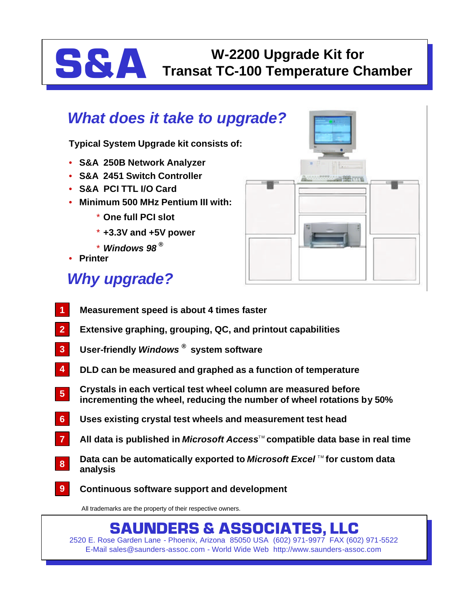# **S&A Transat TC-100 Temperature C Transat TC-100 Temperature Chamber**

### *What does it take to upgrade?*

**Typical System Upgrade kit consists of:**

- **S&A 250B Network Analyzer**
- **S&A 2451 Switch Controller**
- **S&A PCI TTL I/O Card**
- **Minimum 500 MHz Pentium III with:**
	- \* **One full PCI slot**
	- \* **+3.3V and +5V power**
	- \* *Windows 98 ®*
- **Printer**

## *Why upgrade?*



- **Measurement speed is about 4 times faster 1**
- **Extensive graphing, grouping, QC, and printout capabilities 2**
- **User-friendly** *Windows ®* **system software 3**
- **DLD can be measured and graphed as a function of temperature 4**
- **Crystals in each vertical test wheel column are measured before incrementing the wheel, reducing the number of wheel rotations by 50% 5**
- **Uses existing crystal test wheels and measurement test head 6**
- All data is published in *Microsoft Access*™ compatible data base in real time **7**
- **Data can be automatically exported to** *Microsoft Excel* **™ for custom data analysis 8**
- **Continuous software support and development 9**

All trademarks are the property of their respective owners.

#### **SAUNDERS & ASSOCIATES, LLC**

2520 E. Rose Garden Lane - Phoenix, Arizona 85050 USA (602) 971-9977 FAX (602) 971-5522 E-Mail sales@saunders-assoc.com - World Wide Web http://www.saunders-assoc.com